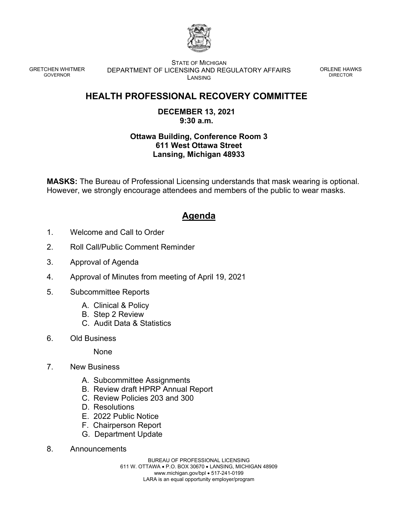

GRETCHEN WHITMER GOVERNOR

STATE OF MICHIGAN DEPARTMENT OF LICENSING AND REGULATORY AFFAIRS **LANSING** 

ORLENE HAWKS DIRECTOR

## **HEALTH PROFESSIONAL RECOVERY COMMITTEE**

## **DECEMBER 13, 2021 9:30 a.m.**

## **Ottawa Building, Conference Room 3 611 West Ottawa Street Lansing, Michigan 48933**

**MASKS:** The Bureau of Professional Licensing understands that mask wearing is optional. However, we strongly encourage attendees and members of the public to wear masks.

## **Agenda**

- 1. Welcome and Call to Order
- 2. Roll Call/Public Comment Reminder
- 3. Approval of Agenda
- 4. Approval of Minutes from meeting of April 19, 2021
- 5. Subcommittee Reports
	- A. Clinical & Policy
	- B. Step 2 Review
	- C. Audit Data & Statistics
- 6. Old Business

None

- 7. New Business
	- A. Subcommittee Assignments
	- B. Review draft HPRP Annual Report
	- C. Review Policies 203 and 300
	- D. Resolutions
	- E. 2022 Public Notice
	- F. Chairperson Report
	- G. Department Update
- 8. Announcements

BUREAU OF PROFESSIONAL LICENSING 611 W. OTTAWA • P.O. BOX 30670 • LANSING, MICHIGAN 48909 www.michigan.gov/bpl • 517-241-0199 LARA is an equal opportunity employer/program